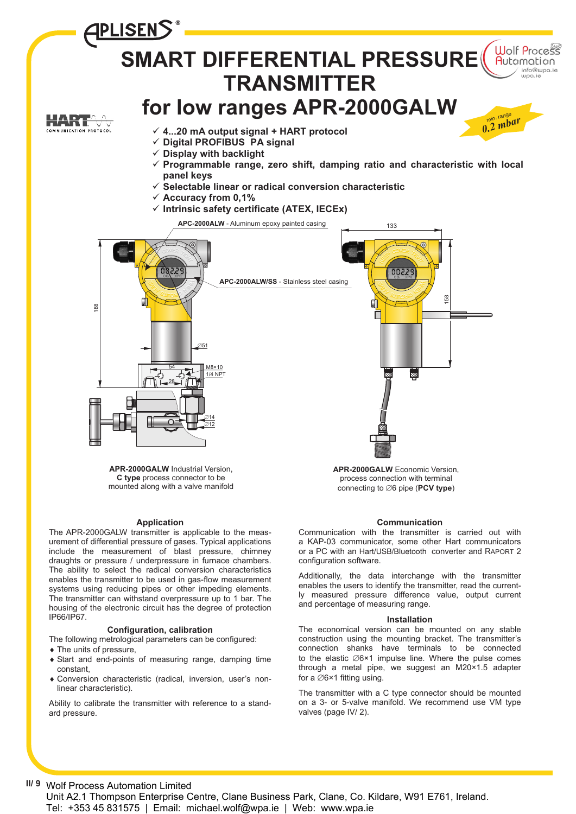

#### **Application**

The APR-2000GALW transmitter is applicable to the measurement of differential pressure of gases. Typical applications include the measurement of blast pressure, chimney draughts or pressure / underpressure in furnace chambers. The ability to select the radical conversion characteristics enables the transmitter to be used in gas-flow measurement systems using reducing pipes or other impeding elements. The transmitter can withstand overpressure up to 1 bar. The housing of the electronic circuit has the degree of protection IP66/IP67.

#### **Configuration, calibration**

The following metrological parameters can be configured:

- The units of pressure,
- Start and end-points of measuring range, damping time constant,
- ◆ Conversion characteristic (radical, inversion, user's nonlinear characteristic).

Ability to calibrate the transmitter with reference to a standard pressure.

#### **Communication**

Communication with the transmitter is carried out with a KAP-03 communicator, some other Hart communicators or a PC with an Hart/USB/Bluetooth converter and RAPORT 2 configuration software.

Additionally, the data interchange with the transmitter enables the users to identify the transmitter, read the currently measured pressure difference value, output current and percentage of measuring range.

#### **Installation**

The economical version can be mounted on any stable construction using the mounting bracket. The transmitter's connection shanks have terminals to be connected to the elastic  $\emptyset$ 6×1 impulse line. Where the pulse comes through a metal pipe, we suggest an M20×1.5 adapter for a  $\emptyset$ 6×1 fitting using.

The transmitter with a C type connector should be mounted on a 3- or 5-valve manifold. We recommend use VM type valves (page IV/ 2).

## **II/ 9** Wolf Process Automation Limited

Unit A2.1 Thompson Enterprise Centre, Clane Business Park, Clane, Co. Kildare, W91 E761, Ireland. Tel: +353 45 831575 | Email: michael.wolf@wpa.ie | Web: www.wpa.ie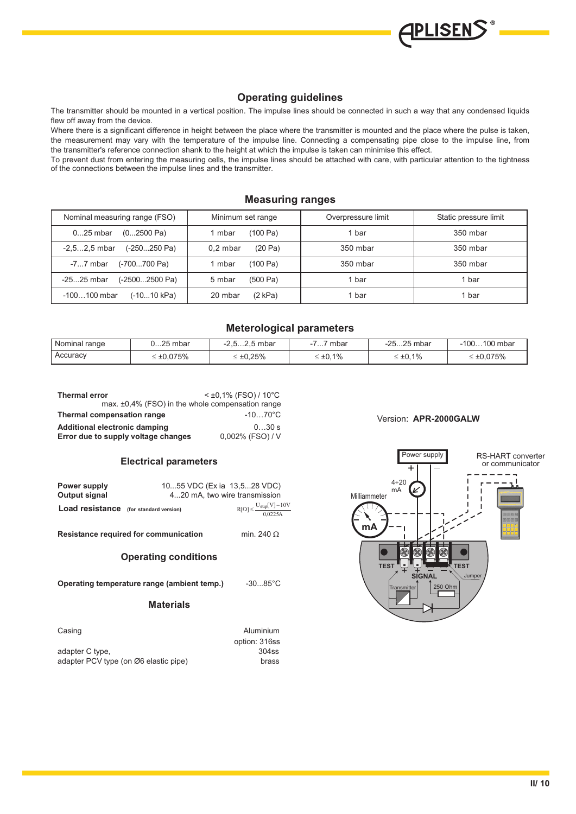# **Operating guidelines**

The transmitter should be mounted in a vertical position. The impulse lines should be connected in such a way that any condensed liquids flew off away from the device.

Where there is a significant difference in height between the place where the transmitter is mounted and the place where the pulse is taken, the measurement may vary with the temperature of the impulse line. Connecting a compensating pipe close to the impulse line, from the transmitter's reference connection shank to the height at which the impulse is taken can minimise this effect.

To prevent dust from entering the measuring cells, the impulse lines should be attached with care, with particular attention to the tightness of the connections between the impulse lines and the transmitter.

# **Measuring ranges**

| Nominal measuring range (FSO)              | Minimum set range     | Overpressure limit | Static pressure limit |  |
|--------------------------------------------|-----------------------|--------------------|-----------------------|--|
| $025$ mbar<br>$(02500 \text{ Pa})$         | (100 Pa)<br>1 mbar    | 1 bar              | 350 mbar              |  |
| $(-250250 \text{ Pa})$<br>$-2, 52, 5$ mbar | (20 Pa)<br>$0.2$ mbar | 350 mbar           | 350 mbar              |  |
| (-700700 Pa)<br>$-77$ mbar                 | (100 Pa)<br>1 mbar    | 350 mbar           | 350 mbar              |  |
| (-25002500 Pa)<br>$-2525$ mbar             | (500 Pa)<br>5 mbar    | 1 bar              | 1 bar                 |  |
| (-1010 kPa)<br>$-100100$ mbar              | (2 kPa)<br>20 mbar    | 1 bar              | 1 bar                 |  |

## **Meterological parameters**

| Nominal range | ิ<br>0…25 mbar     | $-2.52.5$ mbar    | mbar<br>. 1      | -2525 mbar       | $-100100$ mbar     |
|---------------|--------------------|-------------------|------------------|------------------|--------------------|
| Accuracy      | $\leq \pm 0.075\%$ | $\leq \pm 0.25\%$ | $\leq \pm 0.1\%$ | $\leq \pm 0.1\%$ | $\leq \pm 0.075\%$ |

| <b>Thermal error</b>                                   | $<$ ±0,1% (FSO) / 10°C |
|--------------------------------------------------------|------------------------|
| max. $\pm 0.4\%$ (FSO) in the whole compensation range |                        |
| Thermal compensation range                             | $-1070^{\circ}$ C      |
| Additional electronic damping                          | 0.30 s                 |
| Error due to supply voltage changes                    | 0,002% (FSO) / V       |

## **Electrical parameters**

| Power supply<br>Output signal                 | 1055 VDC (Ex ia 13,528 VDC) | 420 mA, two wire transmission                            |
|-----------------------------------------------|-----------------------------|----------------------------------------------------------|
| <b>Load resistance</b> (for standard version) |                             | $R[\Omega] \leq \frac{U_{\text{sup}}[V] - 10V}{0.0225A}$ |

**Resistance required for communication** min. 240  $\Omega$ 

# **Operating conditions**

**Operating temperature range (ambient temp.)** -30...85°C

### **Materials**

| Casing                                | Aluminium     |
|---------------------------------------|---------------|
|                                       | option: 316ss |
| adapter C type.                       | 304ss         |
| adapter PCV type (on Ø6 elastic pipe) | brass         |

# Version: **APR-2000GALW**